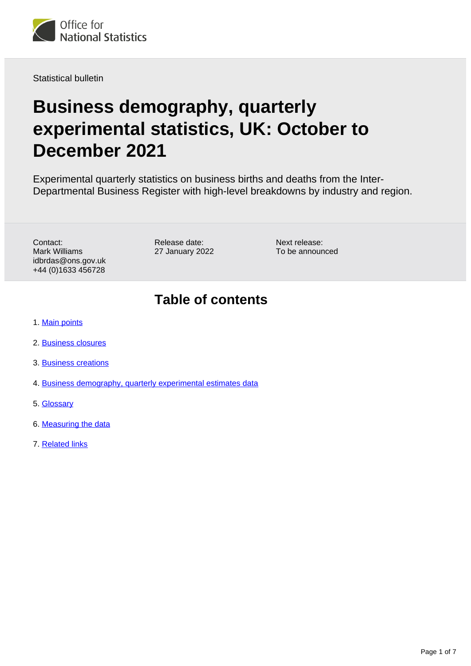

Statistical bulletin

# **Business demography, quarterly experimental statistics, UK: October to December 2021**

Experimental quarterly statistics on business births and deaths from the Inter-Departmental Business Register with high-level breakdowns by industry and region.

Contact: Mark Williams idbrdas@ons.gov.uk +44 (0)1633 456728

Release date: 27 January 2022 Next release: To be announced

### **Table of contents**

- 1. [Main points](#page-1-0)
- 2. [Business closures](#page-2-0)
- 3. [Business creations](#page-3-0)
- 4. [Business demography, quarterly experimental estimates data](#page-4-0)
- 5. [Glossary](#page-4-1)
- 6. [Measuring the data](#page-5-0)
- 7. [Related links](#page-6-0)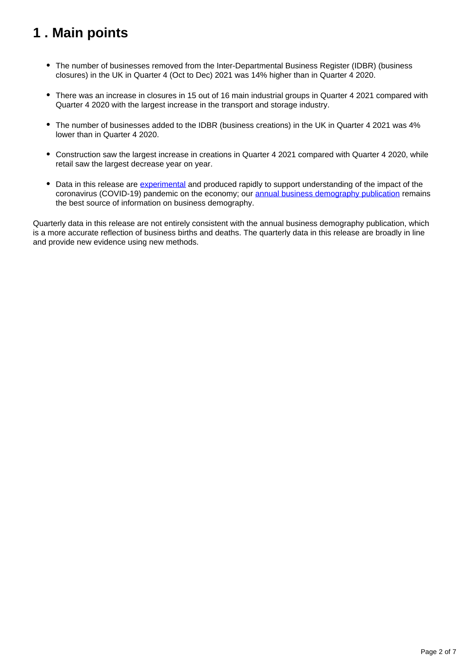## <span id="page-1-0"></span>**1 . Main points**

- The number of businesses removed from the Inter-Departmental Business Register (IDBR) (business closures) in the UK in Quarter 4 (Oct to Dec) 2021 was 14% higher than in Quarter 4 2020.
- There was an increase in closures in 15 out of 16 main industrial groups in Quarter 4 2021 compared with Quarter 4 2020 with the largest increase in the transport and storage industry.
- The number of businesses added to the IDBR (business creations) in the UK in Quarter 4 2021 was 4% lower than in Quarter 4 2020.
- Construction saw the largest increase in creations in Quarter 4 2021 compared with Quarter 4 2020, while retail saw the largest decrease year on year.
- Data in this release are [experimental](https://www.ons.gov.uk/methodology/methodologytopicsandstatisticalconcepts/guidetoexperimentalstatistics) and produced rapidly to support understanding of the impact of the coronavirus (COVID-19) pandemic on the economy; our [annual business demography publication](https://www.ons.gov.uk/businessindustryandtrade/business/activitysizeandlocation/bulletins/businessdemography/previousReleases) remains the best source of information on business demography.

Quarterly data in this release are not entirely consistent with the annual business demography publication, which is a more accurate reflection of business births and deaths. The quarterly data in this release are broadly in line and provide new evidence using new methods.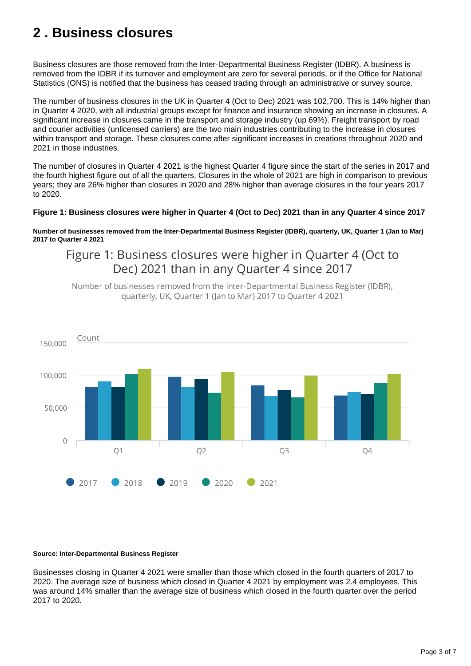## <span id="page-2-0"></span>**2 . Business closures**

Business closures are those removed from the Inter-Departmental Business Register (IDBR). A business is removed from the IDBR if its turnover and employment are zero for several periods, or if the Office for National Statistics (ONS) is notified that the business has ceased trading through an administrative or survey source.

The number of business closures in the UK in Quarter 4 (Oct to Dec) 2021 was 102,700. This is 14% higher than in Quarter 4 2020, with all industrial groups except for finance and insurance showing an increase in closures. A significant increase in closures came in the transport and storage industry (up 69%). Freight transport by road and courier activities (unlicensed carriers) are the two main industries contributing to the increase in closures within transport and storage. These closures come after significant increases in creations throughout 2020 and 2021 in those industries.

The number of closures in Quarter 4 2021 is the highest Quarter 4 figure since the start of the series in 2017 and the fourth highest figure out of all the quarters. Closures in the whole of 2021 are high in comparison to previous years; they are 26% higher than closures in 2020 and 28% higher than average closures in the four years 2017 to 2020.

#### **Figure 1: Business closures were higher in Quarter 4 (Oct to Dec) 2021 than in any Quarter 4 since 2017**

**Number of businesses removed from the Inter-Departmental Business Register (IDBR), quarterly, UK, Quarter 1 (Jan to Mar) 2017 to Quarter 4 2021**

Figure 1: Business closures were higher in Quarter 4 (Oct to Dec) 2021 than in any Quarter 4 since 2017

Number of businesses removed from the Inter-Departmental Business Register (IDBR), quarterly, UK, Quarter 1 (Jan to Mar) 2017 to Quarter 4 2021



#### **Source: Inter-Departmental Business Register**

Businesses closing in Quarter 4 2021 were smaller than those which closed in the fourth quarters of 2017 to 2020. The average size of business which closed in Quarter 4 2021 by employment was 2.4 employees. This was around 14% smaller than the average size of business which closed in the fourth quarter over the period 2017 to 2020.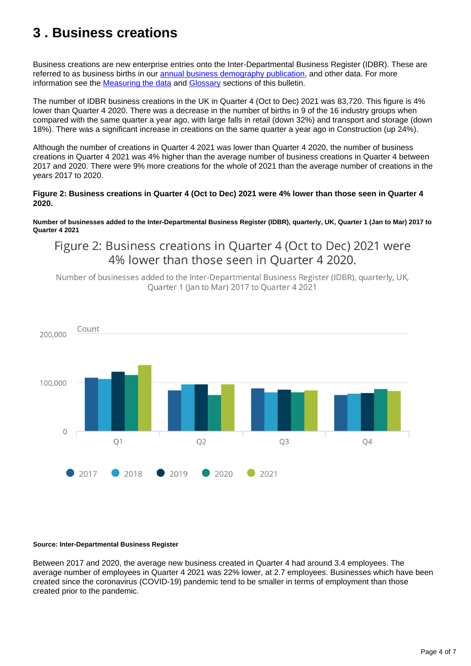## <span id="page-3-0"></span>**3 . Business creations**

Business creations are new enterprise entries onto the Inter-Departmental Business Register (IDBR). These are referred to as business births in our [annual business demography publication](https://www.ons.gov.uk/businessindustryandtrade/business/activitysizeandlocation/bulletins/businessdemography/previousReleases), and other data. For more information see the [Measuring the data](https://www.ons.gov.uk/businessindustryandtrade/business/activitysizeandlocation/bulletins/businessdemographyquarterlyexperimentalstatisticsuk/octobertodecember2021#measuring-the-data) and [Glossary](https://www.ons.gov.uk/businessindustryandtrade/business/activitysizeandlocation/bulletins/businessdemographyquarterlyexperimentalstatisticsuk/octobertodecember2021#glossary) sections of this bulletin.

The number of IDBR business creations in the UK in Quarter 4 (Oct to Dec) 2021 was 83,720. This figure is 4% lower than Quarter 4 2020. There was a decrease in the number of births in 9 of the 16 industry groups when compared with the same quarter a year ago, with large falls in retail (down 32%) and transport and storage (down 18%). There was a significant increase in creations on the same quarter a year ago in Construction (up 24%).

Although the number of creations in Quarter 4 2021 was lower than Quarter 4 2020, the number of business creations in Quarter 4 2021 was 4% higher than the average number of business creations in Quarter 4 between 2017 and 2020. There were 9% more creations for the whole of 2021 than the average number of creations in the years 2017 to 2020.

#### **Figure 2: Business creations in Quarter 4 (Oct to Dec) 2021 were 4% lower than those seen in Quarter 4 2020.**

**Number of businesses added to the Inter-Departmental Business Register (IDBR), quarterly, UK, Quarter 1 (Jan to Mar) 2017 to Quarter 4 2021**

Figure 2: Business creations in Ouarter 4 (Oct to Dec) 2021 were 4% lower than those seen in Ouarter 4 2020.

Number of businesses added to the Inter-Departmental Business Register (IDBR), quarterly, UK, Quarter 1 (Jan to Mar) 2017 to Quarter 4 2021



#### **Source: Inter-Departmental Business Register**

Between 2017 and 2020, the average new business created in Quarter 4 had around 3.4 employees. The average number of employees in Quarter 4 2021 was 22% lower, at 2.7 employees. Businesses which have been created since the coronavirus (COVID-19) pandemic tend to be smaller in terms of employment than those created prior to the pandemic.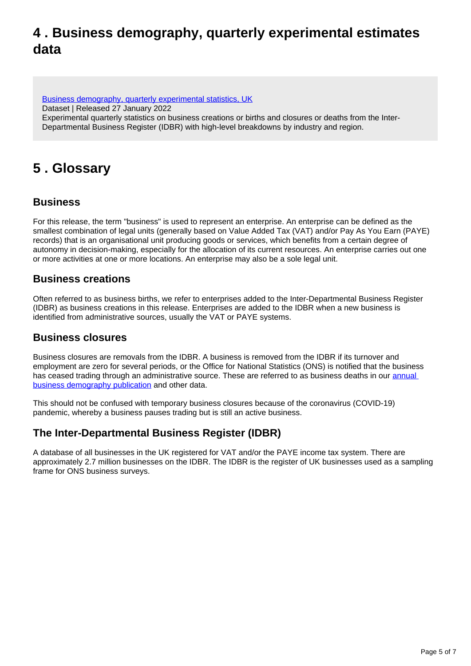### <span id="page-4-0"></span>**4 . Business demography, quarterly experimental estimates data**

[Business demography, quarterly experimental statistics, UK](https://www.ons.gov.uk/businessindustryandtrade/business/activitysizeandlocation/datasets/businessdemographyquarterlyexperimentalstatisticsuk) Dataset | Released 27 January 2022 Experimental quarterly statistics on business creations or births and closures or deaths from the Inter-Departmental Business Register (IDBR) with high-level breakdowns by industry and region.

### <span id="page-4-1"></span>**5 . Glossary**

### **Business**

For this release, the term "business" is used to represent an enterprise. An enterprise can be defined as the smallest combination of legal units (generally based on Value Added Tax (VAT) and/or Pay As You Earn (PAYE) records) that is an organisational unit producing goods or services, which benefits from a certain degree of autonomy in decision-making, especially for the allocation of its current resources. An enterprise carries out one or more activities at one or more locations. An enterprise may also be a sole legal unit.

#### **Business creations**

Often referred to as business births, we refer to enterprises added to the Inter-Departmental Business Register (IDBR) as business creations in this release. Enterprises are added to the IDBR when a new business is identified from administrative sources, usually the VAT or PAYE systems.

#### **Business closures**

Business closures are removals from the IDBR. A business is removed from the IDBR if its turnover and employment are zero for several periods, or the Office for National Statistics (ONS) is notified that the business has ceased trading through an administrative source. These are referred to as business deaths in our annual [business demography publication](https://www.ons.gov.uk/businessindustryandtrade/business/activitysizeandlocation/bulletins/businessdemography/previousReleases) and other data.

This should not be confused with temporary business closures because of the coronavirus (COVID-19) pandemic, whereby a business pauses trading but is still an active business.

### **The Inter-Departmental Business Register (IDBR)**

A database of all businesses in the UK registered for VAT and/or the PAYE income tax system. There are approximately 2.7 million businesses on the IDBR. The IDBR is the register of UK businesses used as a sampling frame for ONS business surveys.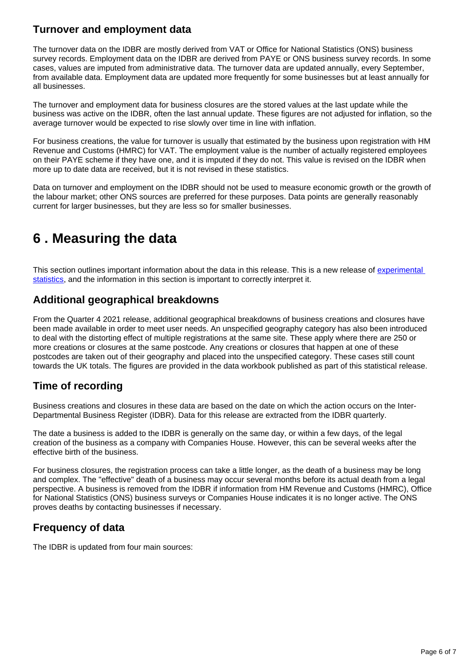### **Turnover and employment data**

The turnover data on the IDBR are mostly derived from VAT or Office for National Statistics (ONS) business survey records. Employment data on the IDBR are derived from PAYE or ONS business survey records. In some cases, values are imputed from administrative data. The turnover data are updated annually, every September, from available data. Employment data are updated more frequently for some businesses but at least annually for all businesses.

The turnover and employment data for business closures are the stored values at the last update while the business was active on the IDBR, often the last annual update. These figures are not adjusted for inflation, so the average turnover would be expected to rise slowly over time in line with inflation.

For business creations, the value for turnover is usually that estimated by the business upon registration with HM Revenue and Customs (HMRC) for VAT. The employment value is the number of actually registered employees on their PAYE scheme if they have one, and it is imputed if they do not. This value is revised on the IDBR when more up to date data are received, but it is not revised in these statistics.

Data on turnover and employment on the IDBR should not be used to measure economic growth or the growth of the labour market; other ONS sources are preferred for these purposes. Data points are generally reasonably current for larger businesses, but they are less so for smaller businesses.

## <span id="page-5-0"></span>**6 . Measuring the data**

This section outlines important information about the data in this release. This is a new release of experimental [statistics,](https://www.ons.gov.uk/methodology/methodologytopicsandstatisticalconcepts/guidetoexperimentalstatistics) and the information in this section is important to correctly interpret it.

#### **Additional geographical breakdowns**

From the Quarter 4 2021 release, additional geographical breakdowns of business creations and closures have been made available in order to meet user needs. An unspecified geography category has also been introduced to deal with the distorting effect of multiple registrations at the same site. These apply where there are 250 or more creations or closures at the same postcode. Any creations or closures that happen at one of these postcodes are taken out of their geography and placed into the unspecified category. These cases still count towards the UK totals. The figures are provided in the data workbook published as part of this statistical release.

### **Time of recording**

Business creations and closures in these data are based on the date on which the action occurs on the Inter-Departmental Business Register (IDBR). Data for this release are extracted from the IDBR quarterly.

The date a business is added to the IDBR is generally on the same day, or within a few days, of the legal creation of the business as a company with Companies House. However, this can be several weeks after the effective birth of the business.

For business closures, the registration process can take a little longer, as the death of a business may be long and complex. The "effective" death of a business may occur several months before its actual death from a legal perspective. A business is removed from the IDBR if information from HM Revenue and Customs (HMRC), Office for National Statistics (ONS) business surveys or Companies House indicates it is no longer active. The ONS proves deaths by contacting businesses if necessary.

#### **Frequency of data**

The IDBR is updated from four main sources: